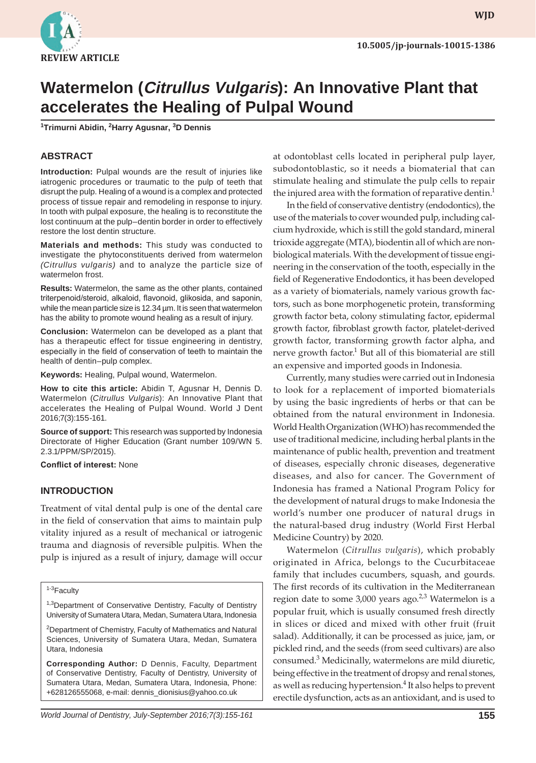

**wjd WJD**

# **Watermelon (Citrullus Vulgaris): An Innovative Plant that accelerates the Healing of Pulpal Wound**

**1 Trimurni Abidin, 2 Harry Agusnar, <sup>3</sup> D Dennis** 

### **ABSTRACT**

**Introduction:** Pulpal wounds are the result of injuries like iatrogenic procedures or traumatic to the pulp of teeth that disrupt the pulp. Healing of a wound is a complex and protected process of tissue repair and remodeling in response to injury. In tooth with pulpal exposure, the healing is to reconstitute the lost continuum at the pulp–dentin border in order to effectively restore the lost dentin structure.

**Materials and methods:** This study was conducted to investigate the phytoconstituents derived from watermelon *(Citrullus vulgaris)* and to analyze the particle size of watermelon frost.

**Results:** Watermelon, the same as the other plants, contained triterpenoid/steroid, alkaloid, flavonoid, glikosida, and saponin, while the mean particle size is 12.34 µm. It is seen that watermelon has the ability to promote wound healing as a result of injury.

**Conclusion:** Watermelon can be developed as a plant that has a therapeutic effect for tissue engineering in dentistry, especially in the field of conservation of teeth to maintain the health of dentin–pulp complex.

**Keywords:** Healing, Pulpal wound, Watermelon.

**How to cite this article:** Abidin T, Agusnar H, Dennis D. Watermelon (*Citrullus Vulgaris*): An Innovative Plant that accelerates the Healing of Pulpal Wound. World J Dent 2016;7(3):155-161.

**Source of support:** This research was supported by Indonesia Directorate of Higher Education (Grant number 109/WN 5. 2.3.1/PPM/SP/2015).

**Conflict of interest:** None

#### **INTRODUCTION**

Treatment of vital dental pulp is one of the dental care in the field of conservation that aims to maintain pulp vitality injured as a result of mechanical or iatrogenic trauma and diagnosis of reversible pulpitis. When the pulp is injured as a result of injury, damage will occur

#### 1-3Faculty

<sup>1,3</sup>Department of Conservative Dentistry, Faculty of Dentistry University of Sumatera Utara, Medan, Sumatera Utara, Indonesia

<sup>2</sup>Department of Chemistry, Faculty of Mathematics and Natural Sciences, University of Sumatera Utara, Medan, Sumatera Utara, Indonesia

**Corresponding Author:** D Dennis, Faculty, Department of Conservative Dentistry, Faculty of Dentistry, University of Sumatera Utara, Medan, Sumatera Utara, Indonesia, Phone: +628126555068, e-mail: dennis\_dionisius@yahoo.co.uk

at odontoblast cells located in peripheral pulp layer, subodontoblastic, so it needs a biomaterial that can stimulate healing and stimulate the pulp cells to repair the injured area with the formation of reparative dentin. $<sup>1</sup>$ </sup>

In the field of conservative dentistry (endodontics), the use of the materials to cover wounded pulp, including calcium hydroxide, which is still the gold standard, mineral trioxide aggregate (MTA), biodentin all of which are nonbiological materials. With the development of tissue engineering in the conservation of the tooth, especially in the field of Regenerative Endodontics, it has been developed as a variety of biomaterials, namely various growth factors, such as bone morphogenetic protein, transforming growth factor beta, colony stimulating factor, epidermal growth factor, fibroblast growth factor, platelet-derived growth factor, transforming growth factor alpha, and nerve growth factor.<sup>1</sup> But all of this biomaterial are still an expensive and imported goods in Indonesia.

Currently, many studies were carried out in Indonesia to look for a replacement of imported biomaterials by using the basic ingredients of herbs or that can be obtained from the natural environment in Indonesia. World Health Organization (WHO) has recommended the use of traditional medicine, including herbal plants in the maintenance of public health, prevention and treatment of diseases, especially chronic diseases, degenerative diseases, and also for cancer. The Government of Indonesia has framed a National Program Policy for the development of natural drugs to make Indonesia the world's number one producer of natural drugs in the natural-based drug industry (World First Herbal Medicine Country) by 2020.

Watermelon (*Citrullus vulgaris*), which probably originated in Africa, belongs to the Cucurbitaceae family that includes cucumbers, squash, and gourds. The first records of its cultivation in the Mediterranean region date to some  $3,000$  years ago.<sup>2,3</sup> Watermelon is a popular fruit, which is usually consumed fresh directly in slices or diced and mixed with other fruit (fruit salad). Additionally, it can be processed as juice, jam, or pickled rind, and the seeds (from seed cultivars) are also consumed.<sup>3</sup> Medicinally, watermelons are mild diuretic, being effective in the treatment of dropsy and renal stones, as well as reducing hypertension.<sup>4</sup> It also helps to prevent erectile dysfunction, acts as an antioxidant, and is used to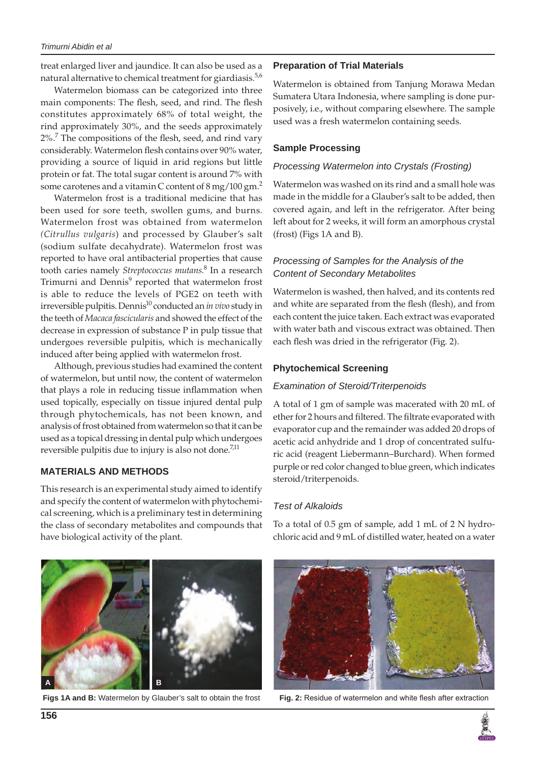treat enlarged liver and jaundice. It can also be used as a natural alternative to chemical treatment for giardiasis.<sup>5,6</sup>

Watermelon biomass can be categorized into three main components: The flesh, seed, and rind. The flesh constitutes approximately 68% of total weight, the rind approximately 30%, and the seeds approximately  $2\%$ .<sup>7</sup> The compositions of the flesh, seed, and rind vary considerably. Watermelon flesh contains over 90% water, providing a source of liquid in arid regions but little protein or fat. The total sugar content is around 7% with some carotenes and a vitamin C content of  $8 \text{ mg}/100 \text{ gm.}^2$ 

Watermelon frost is a traditional medicine that has been used for sore teeth, swollen gums, and burns. Watermelon frost was obtained from watermelon *(Citrullus vulgaris*) and processed by Glauber's salt (sodium sulfate decahydrate). Watermelon frost was reported to have oral antibacterial properties that cause tooth caries namely *Streptococcus mutans*. 8 In a research Trimurni and Dennis<sup>9</sup> reported that watermelon frost is able to reduce the levels of PGE2 on teeth with irreversible pulpitis. Dennis<sup>10</sup> conducted an *in vivo* study in the teeth of *Macaca fascicularis* and showed the effect of the decrease in expression of substance P in pulp tissue that undergoes reversible pulpitis, which is mechanically induced after being applied with watermelon frost.

Although, previous studies had examined the content of watermelon, but until now, the content of watermelon that plays a role in reducing tissue inflammation when used topically, especially on tissue injured dental pulp through phytochemicals, has not been known, and analysis of frost obtained from watermelon so that it can be used as a topical dressing in dental pulp which undergoes reversible pulpitis due to injury is also not done.<sup>7,11</sup>

### **MATERIALS AND METHODS**

This research is an experimental study aimed to identify and specify the content of watermelon with phytochemical screening, which is a preliminary test in determining the class of secondary metabolites and compounds that have biological activity of the plant.

### **Preparation of Trial Materials**

Watermelon is obtained from Tanjung Morawa Medan Sumatera Utara Indonesia, where sampling is done purposively, i.e., without comparing elsewhere. The sample used was a fresh watermelon containing seeds.

### **Sample Processing**

### *Processing Watermelon into Crystals (Frosting)*

Watermelon was washed on its rind and a small hole was made in the middle for a Glauber's salt to be added, then covered again, and left in the refrigerator. After being left about for 2 weeks, it will form an amorphous crystal (frost) (Figs 1A and B).

### *Processing of Samples for the Analysis of the Content of Secondary Metabolites*

Watermelon is washed, then halved, and its contents red and white are separated from the flesh (flesh), and from each content the juice taken. Each extract was evaporated with water bath and viscous extract was obtained. Then each flesh was dried in the refrigerator (Fig. 2).

### **Phytochemical Screening**

### *Examination of Steroid/Triterpenoids*

A total of 1 gm of sample was macerated with 20 mL of ether for 2 hours and filtered. The filtrate evaporated with evaporator cup and the remainder was added 20 drops of acetic acid anhydride and 1 drop of concentrated sulfuric acid (reagent Liebermann–Burchard). When formed purple or red color changed to blue green, which indicates steroid/triterpenoids.

### *Test of Alkaloids*

To a total of 0.5 gm of sample, add 1 mL of 2 N hydrochloric acid and 9 mL of distilled water, heated on a water



**Figs 1A and B:** Watermelon by Glauber's salt to obtain the frost **Fig. 2:** Residue of watermelon and white flesh after extraction



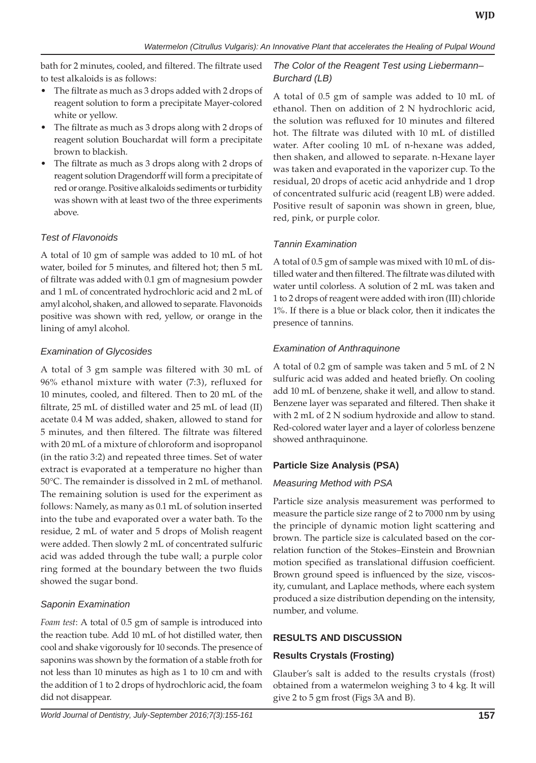bath for 2 minutes, cooled, and filtered. The filtrate used to test alkaloids is as follows:

- The filtrate as much as 3 drops added with 2 drops of reagent solution to form a precipitate Mayer-colored white or yellow.
- • The filtrate as much as 3 drops along with 2 drops of reagent solution Bouchardat will form a precipitate brown to blackish.
- The filtrate as much as 3 drops along with 2 drops of reagent solution Dragendorff will form a precipitate of red or orange. Positive alkaloids sediments or turbidity was shown with at least two of the three experiments above.

## *Test of Flavonoids*

A total of 10 gm of sample was added to 10 mL of hot water, boiled for 5 minutes, and filtered hot; then 5 mL of filtrate was added with 0.1 gm of magnesium powder and 1 mL of concentrated hydrochloric acid and 2 mL of amyl alcohol, shaken, and allowed to separate. Flavonoids positive was shown with red, yellow, or orange in the lining of amyl alcohol.

### *Examination of Glycosides*

A total of 3 gm sample was filtered with 30 mL of 96% ethanol mixture with water (7:3), refluxed for 10 minutes, cooled, and filtered. Then to 20 mL of the filtrate, 25 mL of distilled water and 25 mL of lead (II) acetate 0.4 M was added, shaken, allowed to stand for 5 minutes, and then filtered. The filtrate was filtered with 20 mL of a mixture of chloroform and isopropanol (in the ratio 3:2) and repeated three times. Set of water extract is evaporated at a temperature no higher than 50°C. The remainder is dissolved in 2 mL of methanol. The remaining solution is used for the experiment as follows: Namely, as many as 0.1 mL of solution inserted into the tube and evaporated over a water bath. To the residue, 2 mL of water and 5 drops of Molish reagent were added. Then slowly 2 mL of concentrated sulfuric acid was added through the tube wall; a purple color ring formed at the boundary between the two fluids showed the sugar bond.

## *Saponin Examination*

*Foam test*: A total of 0.5 gm of sample is introduced into the reaction tube. Add 10 mL of hot distilled water, then cool and shake vigorously for 10 seconds. The presence of saponins was shown by the formation of a stable froth for not less than 10 minutes as high as 1 to 10 cm and with the addition of 1 to 2 drops of hydrochloric acid, the foam did not disappear.

# *The Color of the Reagent Test using Liebermann– Burchard (LB)*

A total of 0.5 gm of sample was added to 10 mL of ethanol. Then on addition of 2 N hydrochloric acid, the solution was refluxed for 10 minutes and filtered hot. The filtrate was diluted with 10 mL of distilled water. After cooling 10 mL of n-hexane was added, then shaken, and allowed to separate. n-Hexane layer was taken and evaporated in the vaporizer cup. To the residual, 20 drops of acetic acid anhydride and 1 drop of concentrated sulfuric acid (reagent LB) were added. Positive result of saponin was shown in green, blue, red, pink, or purple color.

## *Tannin Examination*

A total of 0.5 gm of sample was mixed with 10 mL of distilled water and then filtered. The filtrate was diluted with water until colorless. A solution of 2 mL was taken and 1 to 2 drops of reagent were added with iron (III) chloride 1%. If there is a blue or black color, then it indicates the presence of tannins.

### *Examination of Anthraquinone*

A total of 0.2 gm of sample was taken and 5 mL of 2 N sulfuric acid was added and heated briefly. On cooling add 10 mL of benzene, shake it well, and allow to stand. Benzene layer was separated and filtered. Then shake it with 2 mL of 2 N sodium hydroxide and allow to stand. Red-colored water layer and a layer of colorless benzene showed anthraquinone.

## **Particle Size Analysis (PSA)**

## *Measuring Method with PSA*

Particle size analysis measurement was performed to measure the particle size range of 2 to 7000 nm by using the principle of dynamic motion light scattering and brown. The particle size is calculated based on the correlation function of the Stokes–Einstein and Brownian motion specified as translational diffusion coefficient. Brown ground speed is influenced by the size, viscosity, cumulant, and Laplace methods, where each system produced a size distribution depending on the intensity, number, and volume.

## **RESULTS AND DISCUSSION**

### **Results Crystals (Frosting)**

Glauber's salt is added to the results crystals (frost) obtained from a watermelon weighing 3 to 4 kg. It will give 2 to 5 gm frost (Figs 3A and B).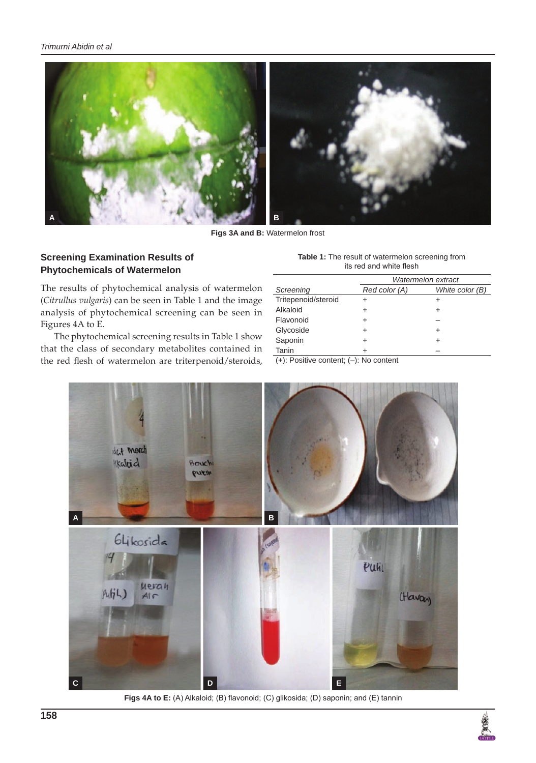

**Figs 3A and B:** Watermelon frost

### **Screening Examination Results of Phytochemicals of Watermelon**

The results of phytochemical analysis of watermelon (*Citrullus vulgaris*) can be seen in Table 1 and the image analysis of phytochemical screening can be seen in Figures 4A to E.

The phytochemical screening results in Table 1 show that the class of secondary metabolites contained in the red flesh of watermelon are triterpenoid/steroids,

| <b>Table 1:</b> The result of watermelon screening from |  |
|---------------------------------------------------------|--|
| its red and white flesh                                 |  |

| Watermelon extract |                 |
|--------------------|-----------------|
| Red color (A)      | White color (B) |
|                    |                 |
|                    |                 |
|                    |                 |
|                    |                 |
|                    |                 |
|                    |                 |
|                    |                 |

(+): Positive content; (–): No content



**Figs 4A to E:** (A) Alkaloid; (B) flavonoid; (C) glikosida; (D) saponin; and (E) tannin

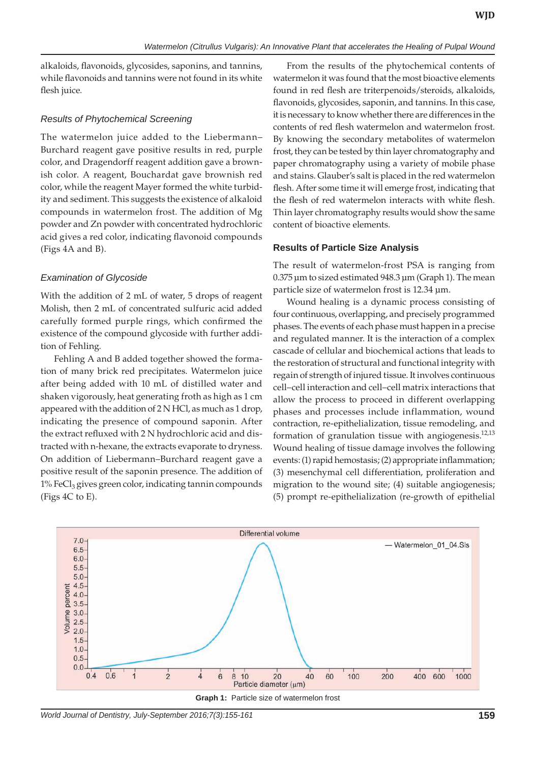alkaloids, flavonoids, glycosides, saponins, and tannins, while flavonoids and tannins were not found in its white flesh juice.

#### *Results of Phytochemical Screening*

The watermelon juice added to the Liebermann– Burchard reagent gave positive results in red, purple color, and Dragendorff reagent addition gave a brownish color. A reagent, Bouchardat gave brownish red color, while the reagent Mayer formed the white turbidity and sediment. This suggests the existence of alkaloid compounds in watermelon frost. The addition of Mg powder and Zn powder with concentrated hydrochloric acid gives a red color, indicating flavonoid compounds (Figs 4A and B).

### *Examination of Glycoside*

With the addition of 2 mL of water, 5 drops of reagent Molish, then 2 mL of concentrated sulfuric acid added carefully formed purple rings, which confirmed the existence of the compound glycoside with further addition of Fehling.

Fehling A and B added together showed the formation of many brick red precipitates. Watermelon juice after being added with 10 mL of distilled water and shaken vigorously, heat generating froth as high as 1 cm appeared with the addition of 2 N HCl, as much as 1 drop, indicating the presence of compound saponin. After the extract refluxed with 2 N hydrochloric acid and distracted with n-hexane, the extracts evaporate to dryness. On addition of Liebermann–Burchard reagent gave a positive result of the saponin presence. The addition of  $1\%$  FeCl<sub>3</sub> gives green color, indicating tannin compounds (Figs 4C to E).

From the results of the phytochemical contents of watermelon it was found that the most bioactive elements found in red flesh are triterpenoids/steroids, alkaloids, flavonoids, glycosides, saponin, and tannins. In this case, it is necessary to know whether there are differences in the contents of red flesh watermelon and watermelon frost. By knowing the secondary metabolites of watermelon frost, they can be tested by thin layer chromatography and paper chromatography using a variety of mobile phase and stains. Glauber's salt is placed in the red watermelon flesh. After some time it will emerge frost, indicating that the flesh of red watermelon interacts with white flesh. Thin layer chromatography results would show the same content of bioactive elements.

### **Results of Particle Size Analysis**

The result of watermelon-frost PSA is ranging from 0.375 μm to sized estimated 948.3 μm (Graph 1). The mean particle size of watermelon frost is 12.34 μm.

Wound healing is a dynamic process consisting of four continuous, overlapping, and precisely programmed phases. The events of each phase must happen in a precise and regulated manner. It is the interaction of a complex cascade of cellular and biochemical actions that leads to the restoration of structural and functional integrity with regain of strength of injured tissue. It involves continuous cell–cell interaction and cell–cell matrix interactions that allow the process to proceed in different overlapping phases and processes include inflammation, wound contraction, re-epithelialization, tissue remodeling, and formation of granulation tissue with angiogenesis. $12,13$ Wound healing of tissue damage involves the following events: (1) rapid hemostasis; (2) appropriate inflammation; (3) mesenchymal cell differentiation, proliferation and migration to the wound site; (4) suitable angiogenesis; (5) prompt re-epithelialization (re-growth of epithelial



*World Journal of Dentistry, July-September 2016;7(3):155-161* **159**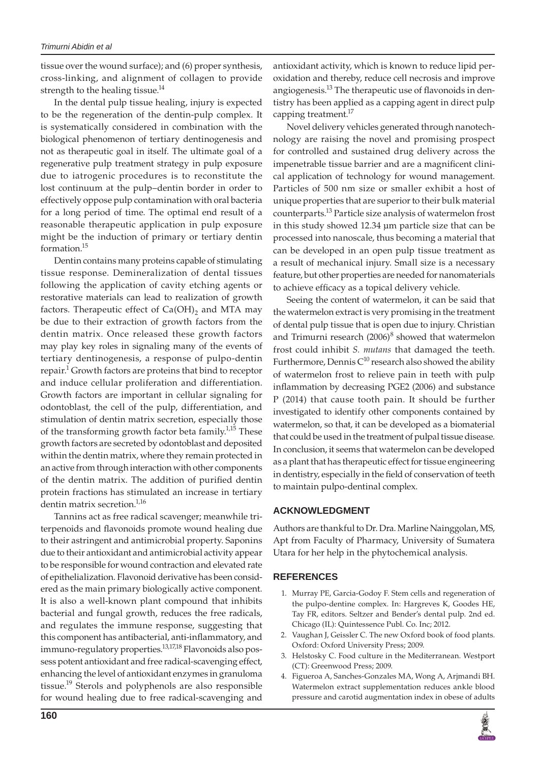tissue over the wound surface); and (6) proper synthesis, cross-linking, and alignment of collagen to provide strength to the healing tissue.<sup>14</sup>

In the dental pulp tissue healing, injury is expected to be the regeneration of the dentin-pulp complex. It is systematically considered in combination with the biological phenomenon of tertiary dentinogenesis and not as therapeutic goal in itself. The ultimate goal of a regenerative pulp treatment strategy in pulp exposure due to iatrogenic procedures is to reconstitute the lost continuum at the pulp–dentin border in order to effectively oppose pulp contamination with oral bacteria for a long period of time. The optimal end result of a reasonable therapeutic application in pulp exposure might be the induction of primary or tertiary dentin formation.15

Dentin contains many proteins capable of stimulating tissue response. Demineralization of dental tissues following the application of cavity etching agents or restorative materials can lead to realization of growth factors. Therapeutic effect of Ca(OH) $_2$  and MTA may be due to their extraction of growth factors from the dentin matrix. Once released these growth factors may play key roles in signaling many of the events of tertiary dentinogenesis, a response of pulpo-dentin repair.<sup>1</sup> Growth factors are proteins that bind to receptor and induce cellular proliferation and differentiation. Growth factors are important in cellular signaling for odontoblast, the cell of the pulp, differentiation, and stimulation of dentin matrix secretion, especially those of the transforming growth factor beta family.<sup>1,15</sup> These growth factors are secreted by odontoblast and deposited within the dentin matrix, where they remain protected in an active from through interaction with other components of the dentin matrix. The addition of purified dentin protein fractions has stimulated an increase in tertiary dentin matrix secretion.<sup>1,16</sup>

Tannins act as free radical scavenger; meanwhile triterpenoids and flavonoids promote wound healing due to their astringent and antimicrobial property. Saponins due to their antioxidant and antimicrobial activity appear to be responsible for wound contraction and elevated rate of epithelialization. Flavonoid derivative has been considered as the main primary biologically active component. It is also a well-known plant compound that inhibits bacterial and fungal growth, reduces the free radicals, and regulates the immune response, suggesting that this component has antibacterial, anti-inflammatory, and immuno-regulatory properties.<sup>13,17,18</sup> Flavonoids also possess potent antioxidant and free radical-scavenging effect, enhancing the level of antioxidant enzymes in granuloma tissue.<sup>19</sup> Sterols and polyphenols are also responsible for wound healing due to free radical-scavenging and

antioxidant activity, which is known to reduce lipid peroxidation and thereby, reduce cell necrosis and improve angiogenesis.<sup>13</sup> The therapeutic use of flavonoids in dentistry has been applied as a capping agent in direct pulp capping treatment.<sup>17</sup>

Novel delivery vehicles generated through nanotechnology are raising the novel and promising prospect for controlled and sustained drug delivery across the impenetrable tissue barrier and are a magnificent clinical application of technology for wound management. Particles of 500 nm size or smaller exhibit a host of unique properties that are superior to their bulk material counterparts.13 Particle size analysis of watermelon frost in this study showed 12.34 μm particle size that can be processed into nanoscale, thus becoming a material that can be developed in an open pulp tissue treatment as a result of mechanical injury. Small size is a necessary feature, but other properties are needed for nanomaterials to achieve efficacy as a topical delivery vehicle.

Seeing the content of watermelon, it can be said that the watermelon extract is very promising in the treatment of dental pulp tissue that is open due to injury. Christian and Trimurni research  $(2006)^8$  showed that watermelon frost could inhibit *S. mutans* that damaged the teeth. Furthermore, Dennis  $C^{10}$  research also showed the ability of watermelon frost to relieve pain in teeth with pulp inflammation by decreasing PGE2 (2006) and substance P (2014) that cause tooth pain. It should be further investigated to identify other components contained by watermelon, so that, it can be developed as a biomaterial that could be used in the treatment of pulpal tissue disease. In conclusion, it seems that watermelon can be developed as a plant that has therapeutic effect for tissue engineering in dentistry, especially in the field of conservation of teeth to maintain pulpo-dentinal complex.

#### **ACKNOWLEDGMENT**

Authors are thankful to Dr. Dra. Marline Nainggolan, MS, Apt from Faculty of Pharmacy, University of Sumatera Utara for her help in the phytochemical analysis.

#### **REFERENCES**

- 1. Murray PE, Garcia-Godoy F. Stem cells and regeneration of the pulpo-dentine complex. In: Hargreves K, Goodes HE, Tay FR, editors. Seltzer and Bender's dental pulp. 2nd ed. Chicago (IL): Quintessence Publ. Co. Inc; 2012.
- 2. Vaughan J, Geissler C. The new Oxford book of food plants. Oxford: Oxford University Press; 2009.
- 3. Helstosky C. Food culture in the Mediterranean. Westport (CT): Greenwood Press; 2009.
- 4. Figueroa A, Sanches-Gonzales MA, Wong A, Arjmandi BH. Watermelon extract supplementation reduces ankle blood pressure and carotid augmentation index in obese of adults